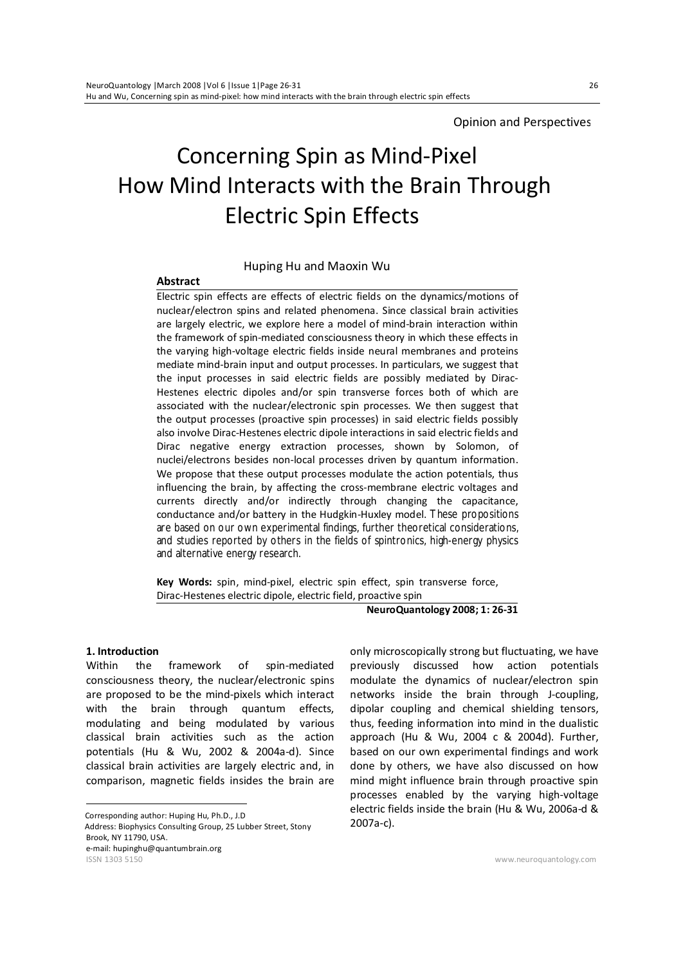# Concerning Spin as Mind-Pixel How Mind Interacts with the Brain Through Electric Spin Effects

#### Huping Hu and Maoxin Wu

#### **Abstract**

Electric spin effects are effects of electric fields on the dynamics/motions of nuclear/electron spins and related phenomena. Since classical brain activities are largely electric, we explore here a model of mind-brain interaction within the framework of spin-mediated consciousness theory in which these effects in the varying high-voltage electric fields inside neural membranes and proteins mediate mind-brain input and output processes. In particulars, we suggest that the input processes in said electric fields are possibly mediated by Dirac-Hestenes electric dipoles and/or spin transverse forces both of which are associated with the nuclear/electronic spin processes. We then suggest that the output processes (proactive spin processes) in said electric fields possibly also involve Dirac-Hestenes electric dipole interactions in said electric fields and Dirac negative energy extraction processes, shown by Solomon, of nuclei/electrons besides non-local processes driven by quantum information. We propose that these output processes modulate the action potentials, thus influencing the brain, by affecting the cross-membrane electric voltages and currents directly and/or indirectly through changing the capacitance, conductance and/or battery in the Hudgkin-Huxley model. These propositions are based on our own experimental findings, further theoretical considerations, and studies reported by others in the fields of spintronics, high-energy physics and alternative energy research.

**Key Words:** spin, mind-pixel, electric spin effect, spin transverse force, Dirac-Hestenes electric dipole, electric field, proactive spin

**NeuroQuantology 2008; 1: 26-31**

## **1. Introduction** 1

Within the framework of spin-mediated consciousness theory, the nuclear/electronic spins are proposed to be the mind-pixels which interact with the brain through quantum effects, modulating and being modulated by various classical brain activities such as the action potentials (Hu & Wu, 2002 & 2004a-d). Since classical brain activities are largely electric and, in comparison, magnetic fields insides the brain are

ISSN 1303 5150 www.neuroquantology.com Corresponding author: Huping Hu, Ph.D., J.D Address: Biophysics Consulting Group, 25 Lubber Street, Stony Brook, NY 11790, USA. e-mail: hupinghu@quantumbrain.org

only microscopically strong but fluctuating, we have previously discussed how action potentials modulate the dynamics of nuclear/electron spin networks inside the brain through J-coupling, dipolar coupling and chemical shielding tensors, thus, feeding information into mind in the dualistic approach (Hu & Wu, 2004 c & 2004d). Further, based on our own experimental findings and work done by others, we have also discussed on how mind might influence brain through proactive spin processes enabled by the varying high-voltage electric fields inside the brain (Hu & Wu, 2006a-d & 2007a-c).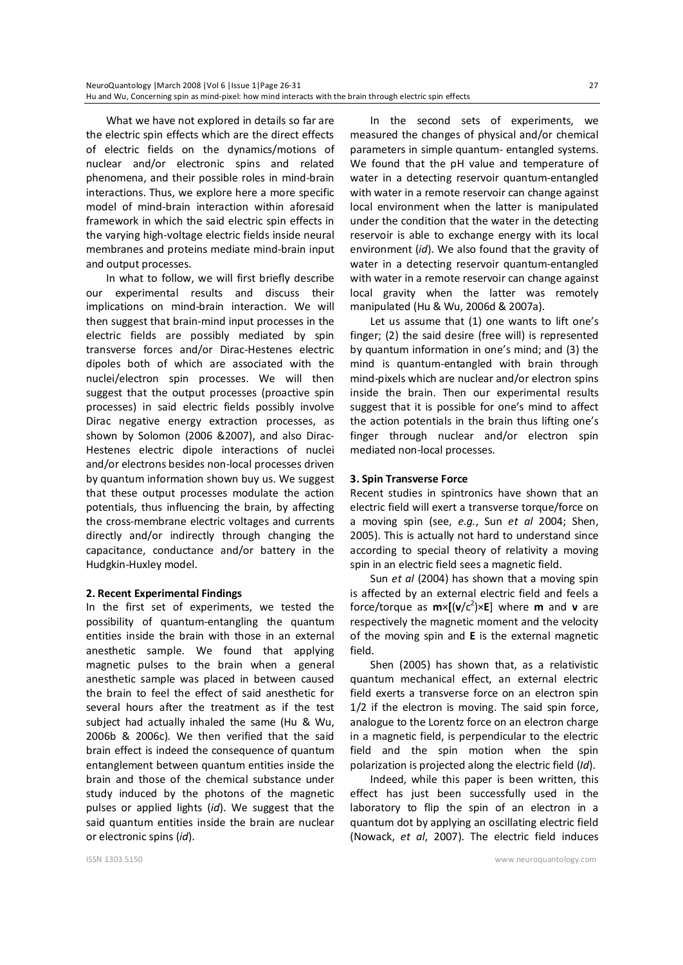What we have not explored in details so far are the electric spin effects which are the direct effects of electric fields on the dynamics/motions of nuclear and/or electronic spins and related phenomena, and their possible roles in mind-brain interactions. Thus, we explore here a more specific model of mind-brain interaction within aforesaid framework in which the said electric spin effects in the varying high-voltage electric fields inside neural membranes and proteins mediate mind-brain input and output processes.

In what to follow, we will first briefly describe our experimental results and discuss their implications on mind-brain interaction. We will then suggest that brain-mind input processes in the electric fields are possibly mediated by spin transverse forces and/or Dirac-Hestenes electric dipoles both of which are associated with the nuclei/electron spin processes. We will then suggest that the output processes (proactive spin processes) in said electric fields possibly involve Dirac negative energy extraction processes, as shown by Solomon (2006 &2007), and also Dirac-Hestenes electric dipole interactions of nuclei and/or electrons besides non-local processes driven by quantum information shown buy us. We suggest that these output processes modulate the action potentials, thus influencing the brain, by affecting the cross-membrane electric voltages and currents directly and/or indirectly through changing the capacitance, conductance and/or battery in the Hudgkin-Huxley model.

### **2. Recent Experimental Findings**

In the first set of experiments, we tested the possibility of quantum-entangling the quantum entities inside the brain with those in an external anesthetic sample. We found that applying magnetic pulses to the brain when a general anesthetic sample was placed in between caused the brain to feel the effect of said anesthetic for several hours after the treatment as if the test subject had actually inhaled the same (Hu & Wu, 2006b & 2006c). We then verified that the said brain effect is indeed the consequence of quantum entanglement between quantum entities inside the brain and those of the chemical substance under study induced by the photons of the magnetic pulses or applied lights (*id*). We suggest that the said quantum entities inside the brain are nuclear or electronic spins (*id*).

In the second sets of experiments, we measured the changes of physical and/or chemical parameters in simple quantum- entangled systems. We found that the pH value and temperature of water in a detecting reservoir quantum-entangled with water in a remote reservoir can change against local environment when the latter is manipulated under the condition that the water in the detecting reservoir is able to exchange energy with its local environment (*id*). We also found that the gravity of water in a detecting reservoir quantum-entangled with water in a remote reservoir can change against local gravity when the latter was remotely manipulated (Hu & Wu, 2006d & 2007a).

Let us assume that (1) one wants to lift one's finger; (2) the said desire (free will) is represented by quantum information in one's mind; and (3) the mind is quantum-entangled with brain through mind-pixels which are nuclear and/or electron spins inside the brain. Then our experimental results suggest that it is possible for one's mind to affect the action potentials in the brain thus lifting one's finger through nuclear and/or electron spin mediated non-local processes.

#### **3. Spin Transverse Force**

Recent studies in spintronics have shown that an electric field will exert a transverse torque/force on a moving spin (see, *e.g.*, Sun *et al* 2004; Shen, 2005). This is actually not hard to understand since according to special theory of relativity a moving spin in an electric field sees a magnetic field.

Sun *et al* (2004) has shown that a moving spin is affected by an external electric field and feels a force/torque as **m**×**[**(**v**/c<sup>2</sup> )×**E**] where **m** and **v** are respectively the magnetic moment and the velocity of the moving spin and **E** is the external magnetic field.

Shen (2005) has shown that, as a relativistic quantum mechanical effect, an external electric field exerts a transverse force on an electron spin 1/2 if the electron is moving. The said spin force, analogue to the Lorentz force on an electron charge in a magnetic field, is perpendicular to the electric field and the spin motion when the spin polarization is projected along the electric field (*Id*).

Indeed, while this paper is been written, this effect has just been successfully used in the laboratory to flip the spin of an electron in a quantum dot by applying an oscillating electric field (Nowack, *et al*, 2007). The electric field induces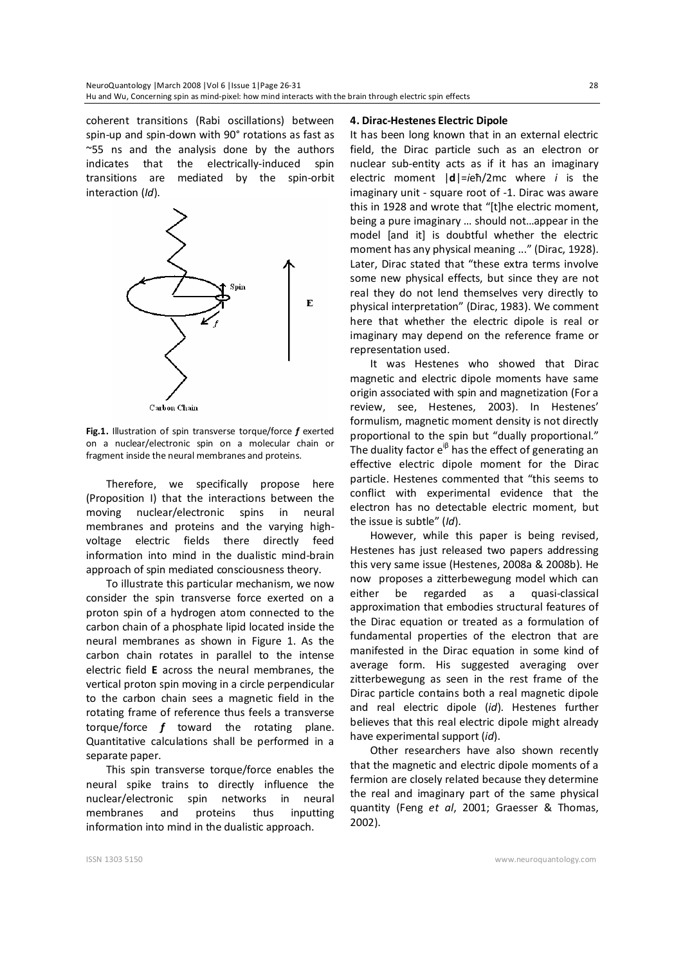coherent transitions (Rabi oscillations) between spin-up and spin-down with 90° rotations as fast as ~55 ns and the analysis done by the authors indicates that the electrically-induced spin transitions are mediated by the spin-orbit interaction (*Id*).



**Fig.1.** Illustration of spin transverse torque/force *f* exerted on a nuclear/electronic spin on a molecular chain or fragment inside the neural membranes and proteins.

Therefore, we specifically propose here (Proposition I) that the interactions between the moving nuclear/electronic spins in neural membranes and proteins and the varying highvoltage electric fields there directly feed information into mind in the dualistic mind-brain approach of spin mediated consciousness theory.

To illustrate this particular mechanism, we now consider the spin transverse force exerted on a proton spin of a hydrogen atom connected to the carbon chain of a phosphate lipid located inside the neural membranes as shown in Figure 1. As the carbon chain rotates in parallel to the intense electric field **E** across the neural membranes, the vertical proton spin moving in a circle perpendicular to the carbon chain sees a magnetic field in the rotating frame of reference thus feels a transverse torque/force *f* toward the rotating plane. Quantitative calculations shall be performed in a separate paper.

This spin transverse torque/force enables the neural spike trains to directly influence the nuclear/electronic spin networks in neural membranes and proteins thus inputting information into mind in the dualistic approach.

#### **4. Dirac-Hestenes Electric Dipole**

It has been long known that in an external electric field, the Dirac particle such as an electron or nuclear sub-entity acts as if it has an imaginary electric moment |**d**|=*i*eħ/2mc where *i* is the imaginary unit - square root of -1. Dirac was aware this in 1928 and wrote that "[t]he electric moment, being a pure imaginary … should not…appear in the model [and it] is doubtful whether the electric moment has any physical meaning ..." (Dirac, 1928). Later, Dirac stated that "these extra terms involve some new physical effects, but since they are not real they do not lend themselves very directly to physical interpretation" (Dirac, 1983). We comment here that whether the electric dipole is real or imaginary may depend on the reference frame or representation used.

It was Hestenes who showed that Dirac magnetic and electric dipole moments have same origin associated with spin and magnetization (For a review, see, Hestenes, 2003). In Hestenes' formulism, magnetic moment density is not directly proportional to the spin but "dually proportional." The duality factor  $e^{i\beta}$  has the effect of generating an effective electric dipole moment for the Dirac particle. Hestenes commented that "this seems to conflict with experimental evidence that the electron has no detectable electric moment, but the issue is subtle" (*Id*).

However, while this paper is being revised, Hestenes has just released two papers addressing this very same issue (Hestenes, 2008a & 2008b). He now proposes a zitterbewegung model which can either be regarded as a quasi-classical approximation that embodies structural features of the Dirac equation or treated as a formulation of fundamental properties of the electron that are manifested in the Dirac equation in some kind of average form. His suggested averaging over zitterbewegung as seen in the rest frame of the Dirac particle contains both a real magnetic dipole and real electric dipole (*id*). Hestenes further believes that this real electric dipole might already have experimental support (*id*).

Other researchers have also shown recently that the magnetic and electric dipole moments of a fermion are closely related because they determine the real and imaginary part of the same physical quantity (Feng *et al*, 2001; Graesser & Thomas, 2002).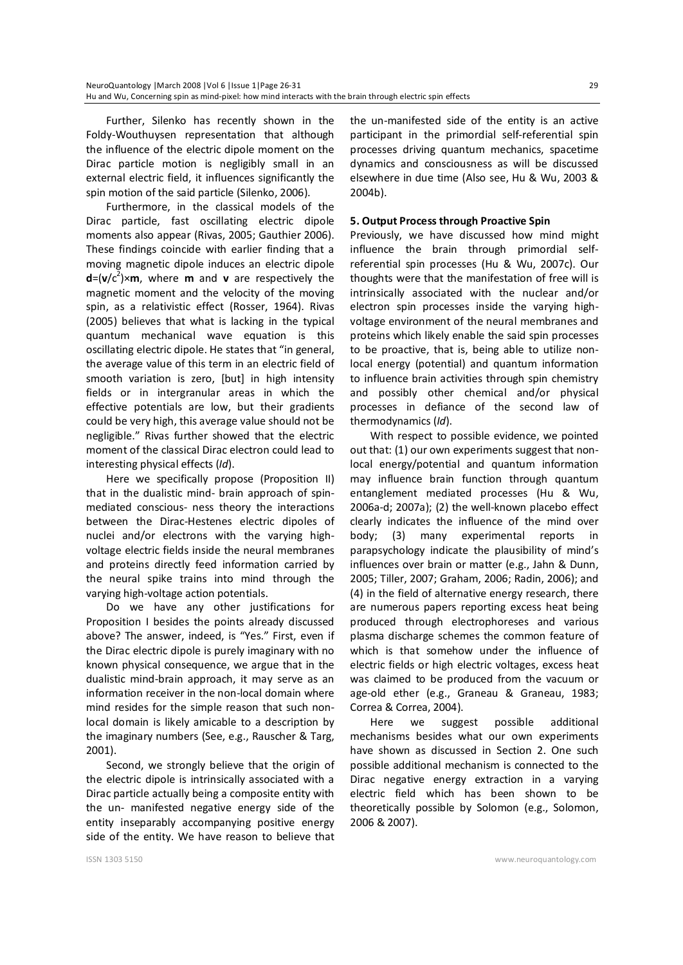Further, Silenko has recently shown in the Foldy-Wouthuysen representation that although the influence of the electric dipole moment on the Dirac particle motion is negligibly small in an external electric field, it influences significantly the spin motion of the said particle (Silenko, 2006).

Furthermore, in the classical models of the Dirac particle, fast oscillating electric dipole moments also appear (Rivas, 2005; Gauthier 2006). These findings coincide with earlier finding that a moving magnetic dipole induces an electric dipole  $d=(v/c^2)$   $\times$  m, where **m** and **v** are respectively the magnetic moment and the velocity of the moving spin, as a relativistic effect (Rosser, 1964). Rivas (2005) believes that what is lacking in the typical quantum mechanical wave equation is this oscillating electric dipole. He states that "in general, the average value of this term in an electric field of smooth variation is zero, [but] in high intensity fields or in intergranular areas in which the effective potentials are low, but their gradients could be very high, this average value should not be negligible." Rivas further showed that the electric moment of the classical Dirac electron could lead to interesting physical effects (*Id*).

Here we specifically propose (Proposition II) that in the dualistic mind- brain approach of spinmediated conscious- ness theory the interactions between the Dirac-Hestenes electric dipoles of nuclei and/or electrons with the varying highvoltage electric fields inside the neural membranes and proteins directly feed information carried by the neural spike trains into mind through the varying high-voltage action potentials.

Do we have any other justifications for Proposition I besides the points already discussed above? The answer, indeed, is "Yes." First, even if the Dirac electric dipole is purely imaginary with no known physical consequence, we argue that in the dualistic mind-brain approach, it may serve as an information receiver in the non-local domain where mind resides for the simple reason that such nonlocal domain is likely amicable to a description by the imaginary numbers (See, e.g., Rauscher & Targ, 2001).

Second, we strongly believe that the origin of the electric dipole is intrinsically associated with a Dirac particle actually being a composite entity with the un- manifested negative energy side of the entity inseparably accompanying positive energy side of the entity. We have reason to believe that the un-manifested side of the entity is an active participant in the primordial self-referential spin processes driving quantum mechanics, spacetime dynamics and consciousness as will be discussed elsewhere in due time (Also see, Hu & Wu, 2003 & 2004b).

### **5. Output Process through Proactive Spin**

Previously, we have discussed how mind might influence the brain through primordial selfreferential spin processes (Hu & Wu, 2007c). Our thoughts were that the manifestation of free will is intrinsically associated with the nuclear and/or electron spin processes inside the varying highvoltage environment of the neural membranes and proteins which likely enable the said spin processes to be proactive, that is, being able to utilize nonlocal energy (potential) and quantum information to influence brain activities through spin chemistry and possibly other chemical and/or physical processes in defiance of the second law of thermodynamics (*Id*).

With respect to possible evidence, we pointed out that: (1) our own experiments suggest that nonlocal energy/potential and quantum information may influence brain function through quantum entanglement mediated processes (Hu & Wu, 2006a-d; 2007a); (2) the well-known placebo effect clearly indicates the influence of the mind over body; (3) many experimental reports in parapsychology indicate the plausibility of mind's influences over brain or matter (e.g., Jahn & Dunn, 2005; Tiller, 2007; Graham, 2006; Radin, 2006); and (4) in the field of alternative energy research, there are numerous papers reporting excess heat being produced through electrophoreses and various plasma discharge schemes the common feature of which is that somehow under the influence of electric fields or high electric voltages, excess heat was claimed to be produced from the vacuum or age-old ether (e.g., Graneau & Graneau, 1983; Correa & Correa, 2004).

Here we suggest possible additional mechanisms besides what our own experiments have shown as discussed in Section 2. One such possible additional mechanism is connected to the Dirac negative energy extraction in a varying electric field which has been shown to be theoretically possible by Solomon (e.g., Solomon, 2006 & 2007).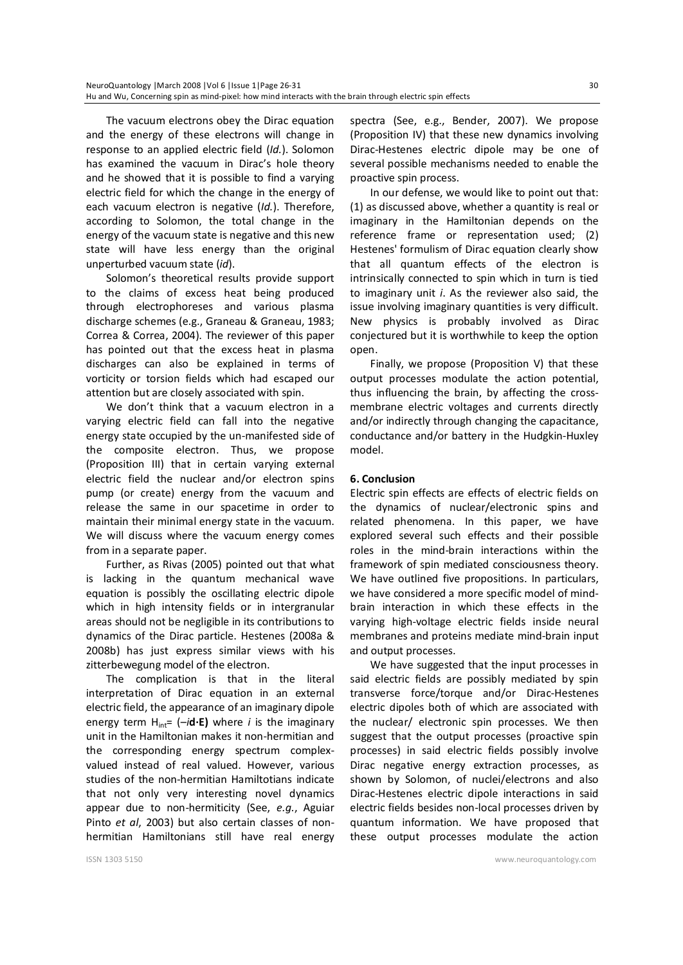The vacuum electrons obey the Dirac equation and the energy of these electrons will change in response to an applied electric field (*Id.*). Solomon has examined the vacuum in Dirac's hole theory and he showed that it is possible to find a varying electric field for which the change in the energy of each vacuum electron is negative (*Id.*). Therefore, according to Solomon, the total change in the energy of the vacuum state is negative and this new state will have less energy than the original unperturbed vacuum state (*id*).

Solomon's theoretical results provide support to the claims of excess heat being produced through electrophoreses and various plasma discharge schemes (e.g., Graneau & Graneau, 1983; Correa & Correa, 2004). The reviewer of this paper has pointed out that the excess heat in plasma discharges can also be explained in terms of vorticity or torsion fields which had escaped our attention but are closely associated with spin.

We don't think that a vacuum electron in a varying electric field can fall into the negative energy state occupied by the un-manifested side of the composite electron. Thus, we propose (Proposition III) that in certain varying external electric field the nuclear and/or electron spins pump (or create) energy from the vacuum and release the same in our spacetime in order to maintain their minimal energy state in the vacuum. We will discuss where the vacuum energy comes from in a separate paper.

Further, as Rivas (2005) pointed out that what is lacking in the quantum mechanical wave equation is possibly the oscillating electric dipole which in high intensity fields or in intergranular areas should not be negligible in its contributions to dynamics of the Dirac particle. Hestenes (2008a & 2008b) has just express similar views with his zitterbewegung model of the electron.

The complication is that in the literal interpretation of Dirac equation in an external electric field, the appearance of an imaginary dipole energy term  $H_{int} = (-i\mathbf{d} \cdot \mathbf{E})$  where *i* is the imaginary unit in the Hamiltonian makes it non-hermitian and the corresponding energy spectrum complexvalued instead of real valued. However, various studies of the non-hermitian Hamiltotians indicate that not only very interesting novel dynamics appear due to non-hermiticity (See, *e.g.*, Aguiar Pinto *et al*, 2003) but also certain classes of nonhermitian Hamiltonians still have real energy spectra (See, e.g., Bender, 2007). We propose (Proposition IV) that these new dynamics involving Dirac-Hestenes electric dipole may be one of several possible mechanisms needed to enable the proactive spin process.

In our defense, we would like to point out that: (1) as discussed above, whether a quantity is real or imaginary in the Hamiltonian depends on the reference frame or representation used; (2) Hestenes' formulism of Dirac equation clearly show that all quantum effects of the electron is intrinsically connected to spin which in turn is tied to imaginary unit *i*. As the reviewer also said, the issue involving imaginary quantities is very difficult. New physics is probably involved as Dirac conjectured but it is worthwhile to keep the option open.

Finally, we propose (Proposition V) that these output processes modulate the action potential, thus influencing the brain, by affecting the crossmembrane electric voltages and currents directly and/or indirectly through changing the capacitance, conductance and/or battery in the Hudgkin-Huxley model.

#### **6. Conclusion**

Electric spin effects are effects of electric fields on the dynamics of nuclear/electronic spins and related phenomena. In this paper, we have explored several such effects and their possible roles in the mind-brain interactions within the framework of spin mediated consciousness theory. We have outlined five propositions. In particulars, we have considered a more specific model of mindbrain interaction in which these effects in the varying high-voltage electric fields inside neural membranes and proteins mediate mind-brain input and output processes.

We have suggested that the input processes in said electric fields are possibly mediated by spin transverse force/torque and/or Dirac-Hestenes electric dipoles both of which are associated with the nuclear/ electronic spin processes. We then suggest that the output processes (proactive spin processes) in said electric fields possibly involve Dirac negative energy extraction processes, as shown by Solomon, of nuclei/electrons and also Dirac-Hestenes electric dipole interactions in said electric fields besides non-local processes driven by quantum information. We have proposed that these output processes modulate the action